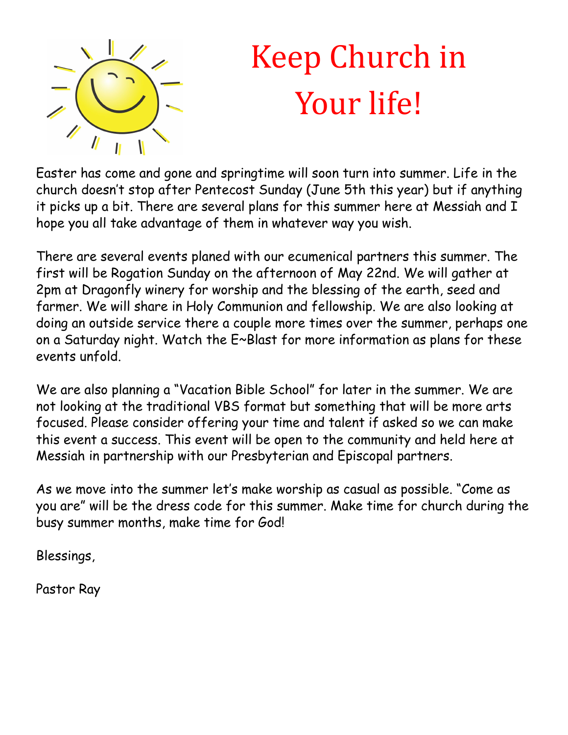

## Keep Church in Your life!

Easter has come and gone and springtime will soon turn into summer. Life in the church doesn't stop after Pentecost Sunday (June 5th this year) but if anything it picks up a bit. There are several plans for this summer here at Messiah and I hope you all take advantage of them in whatever way you wish.

There are several events planed with our ecumenical partners this summer. The first will be Rogation Sunday on the afternoon of May 22nd. We will gather at 2pm at Dragonfly winery for worship and the blessing of the earth, seed and farmer. We will share in Holy Communion and fellowship. We are also looking at doing an outside service there a couple more times over the summer, perhaps one on a Saturday night. Watch the E~Blast for more information as plans for these events unfold.

We are also planning a "Vacation Bible School" for later in the summer. We are not looking at the traditional VBS format but something that will be more arts focused. Please consider offering your time and talent if asked so we can make this event a success. This event will be open to the community and held here at Messiah in partnership with our Presbyterian and Episcopal partners.

As we move into the summer let's make worship as casual as possible. "Come as you are" will be the dress code for this summer. Make time for church during the busy summer months, make time for God!

Blessings,

Pastor Ray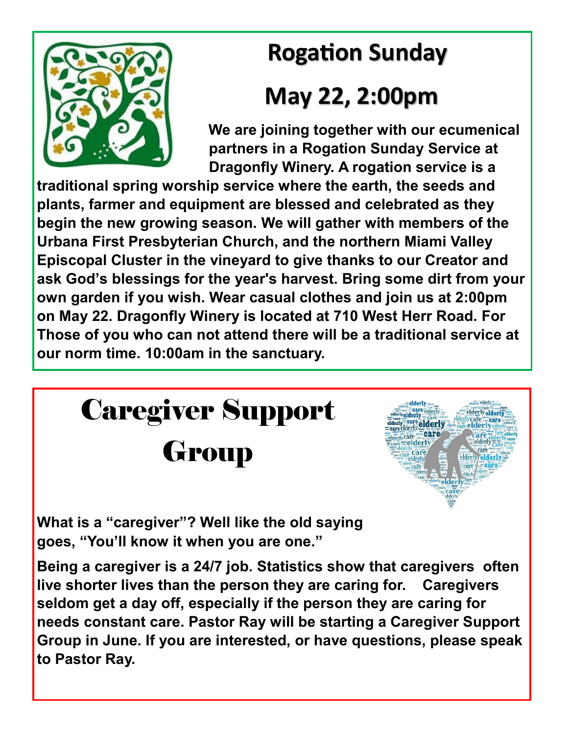## **Rogation Sunday**



### **May 22, 2:00pm**

 **We are joining together with our ecumenical partners in a Rogation Sunday Service at Dragonfly Winery. A rogation service is a** 

**traditional spring worship service where the earth, the seeds and plants, farmer and equipment are blessed and celebrated as they begin the new growing season. We will gather with members of the Urbana First Presbyterian Church, and the northern Miami Valley Episcopal Cluster in the vineyard to give thanks to our Creator and ask God's blessings for the year's harvest. Bring some dirt from your own garden if you wish. Wear casual clothes and join us at 2:00pm on May 22. Dragonfly Winery is located at 710 West Herr Road. For Those of you who can not attend there will be a traditional service at our norm time. 10:00am in the sanctuary.** 



**Being a caregiver is a 24/7 job. Statistics show that caregivers often live shorter lives than the person they are caring for. Caregivers seldom get a day off, especially if the person they are caring for needs constant care. Pastor Ray will be starting a Caregiver Support Group in June. If you are interested, or have questions, please speak to Pastor Ray.**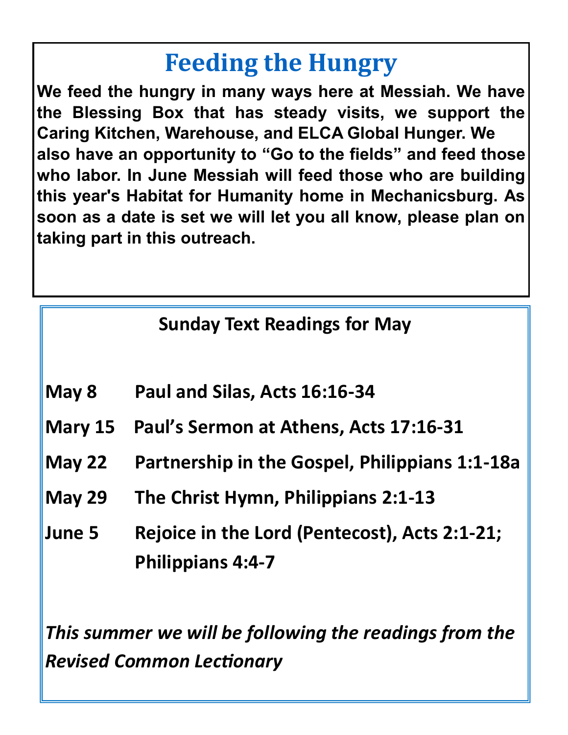## **Feeding the Hungry**

**We feed the hungry in many ways here at Messiah. We have the Blessing Box that has steady visits, we support the Caring Kitchen, Warehouse, and ELCA Global Hunger. We also have an opportunity to "Go to the fields" and feed those who labor. In June Messiah will feed those who are building this year's Habitat for Humanity home in Mechanicsburg. As soon as a date is set we will let you all know, please plan on taking part in this outreach.** 

#### **Sunday Text Readings for May**

- **May 8 Paul and Silas, Acts 16:16-34**
- **Mary 15 Paul's Sermon at Athens, Acts 17:16-31**
- **May 22 Partnership in the Gospel, Philippians 1:1-18a**
- **May 29 The Christ Hymn, Philippians 2:1-13**
- **June 5 Rejoice in the Lord (Pentecost), Acts 2:1-21; Philippians 4:4-7**

*This summer we will be following the readings from the Revised Common Lectionary*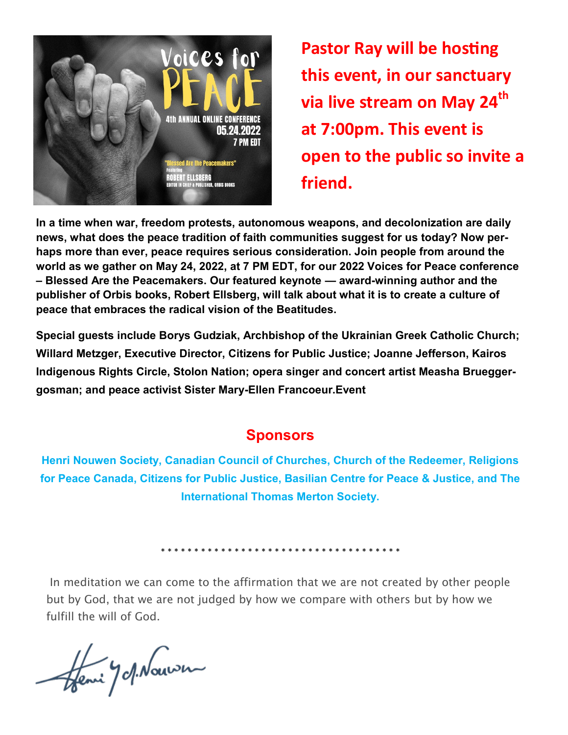

**Pastor Ray will be hosting this event, in our sanctuary via live stream on May 24th at 7:00pm. This event is open to the public so invite a friend.**

**In a time when war, freedom protests, autonomous weapons, and decolonization are daily news, what does the peace tradition of faith communities suggest for us today? Now perhaps more than ever, peace requires serious consideration. Join people from around the world as we gather on May 24, 2022, at 7 PM EDT, for our 2022 Voices for Peace conference – Blessed Are the Peacemakers. Our featured keynote — award-winning author and the publisher of Orbis books, Robert Ellsberg, will talk about what it is to create a culture of peace that embraces the radical vision of the Beatitudes.** 

**Special guests include Borys Gudziak, Archbishop of the Ukrainian Greek Catholic Church; Willard Metzger, Executive Director, Citizens for Public Justice; Joanne Jefferson, Kairos Indigenous Rights Circle, Stolon Nation; opera singer and concert artist Measha Brueggergosman; and peace activist Sister Mary-Ellen Francoeur.Event** 

#### **Sponsors**

**Henri Nouwen Society, Canadian Council of Churches, Church of the Redeemer, Religions for Peace Canada, Citizens for Public Justice, Basilian Centre for Peace & Justice, and The International Thomas Merton Society.**

\* \* \* \* \* \* \* \* \* \* \* \* \* \* \* \* \* \* \* \* \* \* \* \* \* \* \* \* \* \* \* \* \* \* \* \*

In meditation we can come to the affirmation that we are not created by other people but by God, that we are not judged by how we compare with others but by how we fulfill the will of God.

Henri J Mauven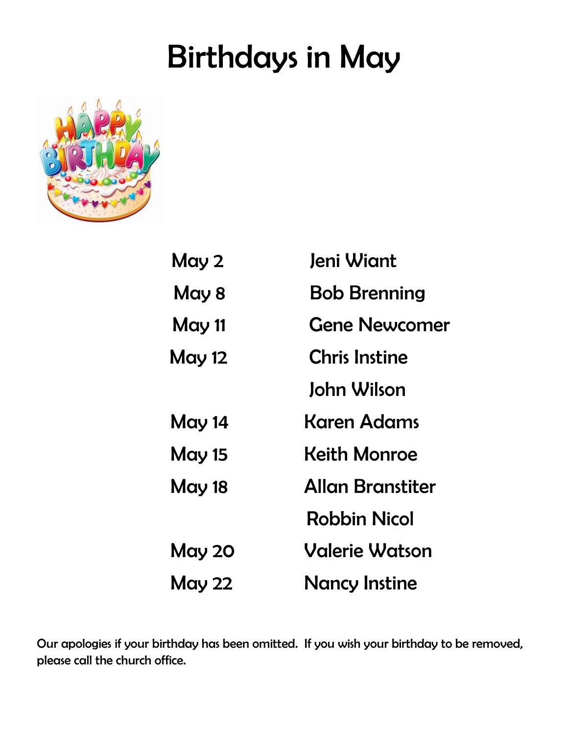## Birthdays in May



| May 2         | Jeni Wiant              |
|---------------|-------------------------|
| May 8         | <b>Bob Brenning</b>     |
| May 11        | <b>Gene Newcomer</b>    |
| <b>May 12</b> | <b>Chris Instine</b>    |
|               | John Wilson             |
| <b>May 14</b> | Karen Adams             |
| <b>May 15</b> | <b>Keith Monroe</b>     |
| <b>May 18</b> | <b>Allan Branstiter</b> |
|               | <b>Robbin Nicol</b>     |
| <b>May 20</b> | <b>Valerie Watson</b>   |
| <b>May 22</b> | <b>Nancy Instine</b>    |

Our apologies if your birthday has been omitted. If you wish your birthday to be removed, please call the church office.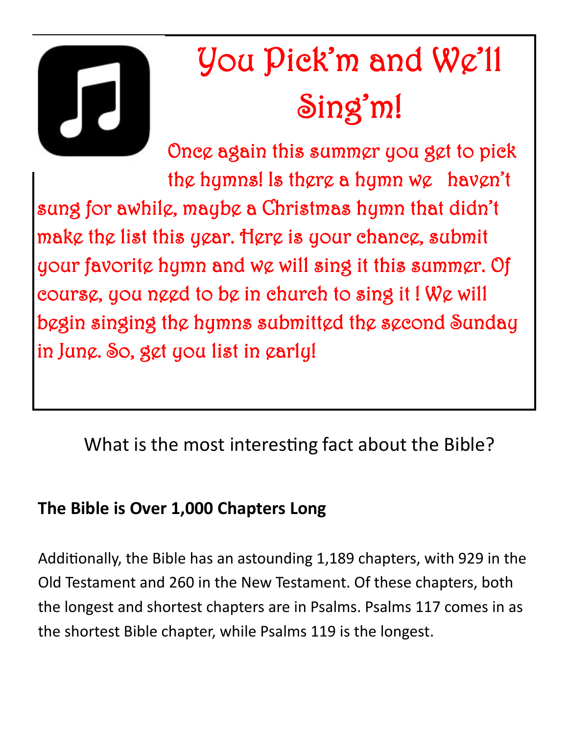

# You Pick'm and We'll Sing'm!

Once again this summer you get to pick the hymns! Is there a hymn we haven't sung for awhile, maybe a Christmas hymn that didn't make the list this year. Here is your chance, submit your favorite hymn and we will sing it this summer. Of course, you need to be in church to sing it ! We will begin singing the hymns submitted the second Sunday in June. So, get you list in early!

What is the most interesting fact about the Bible?

#### **The Bible is Over 1,000 Chapters Long**

Additionally, the Bible has an astounding 1,189 chapters, with 929 in the Old Testament and 260 in the New Testament. Of these chapters, both the longest and shortest chapters are in Psalms. Psalms 117 comes in as the shortest Bible chapter, while Psalms 119 is the longest.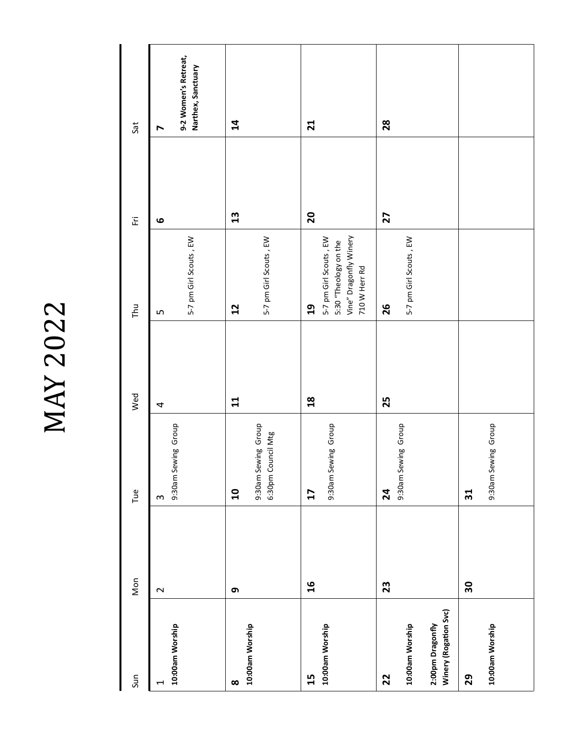MAY 2022

| Sun                                                                | Mon    | Tue                                                         | Wed            | Thu                                                                                                        | $\overleftarrow{\text{E}}$ | Sat                                                                 |
|--------------------------------------------------------------------|--------|-------------------------------------------------------------|----------------|------------------------------------------------------------------------------------------------------------|----------------------------|---------------------------------------------------------------------|
| 10:00am Worship<br>$\blacktriangleleft$                            | $\sim$ | 9:30am Sewing Group<br>$\boldsymbol{\varsigma}$             | 4              | 5-7 pm Girl Scouts, EW<br>LŊ                                                                               | $\bullet$                  | 9-2 Women's Retreat,<br>Narthex, Sanctuary<br>$\blacktriangleright$ |
| 10:00am Worship<br>$\infty$                                        | თ      | 9:30am Sewing Group<br>6:30pm Council Mtg<br>$\overline{a}$ | $\mathbf{1}$   | 5-7 pm Girl Scouts, EW<br>12                                                                               | 13                         | $\overline{\mathbf{a}}$                                             |
| 10:00am Worship<br>15                                              | 16     | 9:30am Sewing Group<br>17                                   | $\frac{8}{18}$ | 5-7 pm Girl Scouts, EW<br>Vine" Dragonfly Winery<br>5:30 "Theology on the<br>710 W Herr Rd<br>$\mathbf{a}$ | $\overline{\mathbf{S}}$    | $\mathbf{z}$                                                        |
| Winery (Rogation Svc)<br>2:00pm Dragonfly<br>10:00am Worship<br>22 | 23     | 9:30am Sewing Group<br>$\mathbf{z}$                         | 25             | 5-7 pm Girl Scouts, EW<br>26                                                                               | 27                         | 28                                                                  |
| 10:00am Worship<br>29                                              | 30     | 9:30am Sewing Group<br>31                                   |                |                                                                                                            |                            |                                                                     |